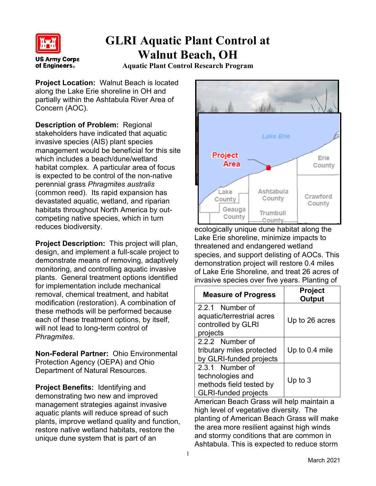

## **GLRI Aquatic Plant Control at Walnut Beach, OH**

**Aquatic Plant Control Research Program**

**Project Location:** Walnut Beach is located along the Lake Erie shoreline in OH and partially within the Ashtabula River Area of Concern (AOC).

**Description of Problem:** Regional stakeholders have indicated that aquatic invasive species (AIS) plant species management would be beneficial for this site which includes a beach/dune/wetland habitat complex. A particular area of focus is expected to be control of the non-native perennial grass *Phragmites australis* (common reed). Its rapid expansion has devastated aquatic, wetland, and riparian habitats throughout North America by outcompeting native species, which in turn reduces biodiversity.

**Project Description:** This project will plan, design, and implement a full-scale project to demonstrate means of removing, adaptively monitoring, and controlling aquatic invasive plants. General treatment options identified for implementation include mechanical removal, chemical treatment, and habitat modification (restoration). A combination of these methods will be performed because each of these treatment options, by itself, will not lead to long-term control of *Phragmites*.

**Non-Federal Partner:** Ohio Environmental Protection Agency (OEPA) and Ohio Department of Natural Resources.

**Project Benefits:** Identifying and demonstrating two new and improved management strategies against invasive aquatic plants will reduce spread of such plants, improve wetland quality and function, restore native wetland habitats, restore the unique dune system that is part of an



ecologically unique dune habitat along the Lake Erie shoreline, minimize impacts to threatened and endangered wetland species, and support delisting of AOCs. This demonstration project will restore 0.4 miles of Lake Erie Shoreline, and treat 26 acres of invasive species over five years. Planting of

| <b>Measure of Progress</b>                                         | <b>Project</b><br><b>Output</b> |
|--------------------------------------------------------------------|---------------------------------|
| 2.2.1 Number of<br>aquatic/terrestrial acres<br>controlled by GLRI | Up to 26 acres                  |
| projects                                                           |                                 |
| 2.2.2 Number of                                                    |                                 |
| tributary miles protected                                          | Up to 0.4 mile                  |
| by GLRI-funded projects                                            |                                 |
| 2.3.1 Number of                                                    |                                 |
| technologies and                                                   | Up to $3$                       |
| methods field tested by                                            |                                 |
| <b>GLRI-funded projects</b>                                        |                                 |

American Beach Grass will help maintain a high level of vegetative diversity. The planting of American Beach Grass will make the area more resilient against high winds and stormy conditions that are common in Ashtabula. This is expected to reduce storm